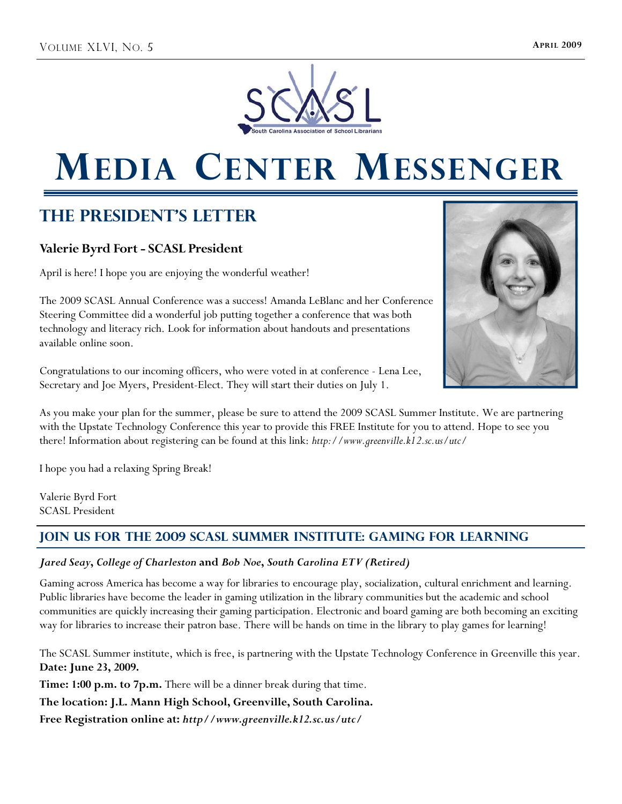

# **MEDIA CENTER MESSENGER**

## **The President's Letter**

## **Valerie Byrd Fort - SCASL President**

April is here! I hope you are enjoying the wonderful weather!

The 2009 SCASL Annual Conference was a success! Amanda LeBlanc and her Conference Steering Committee did a wonderful job putting together a conference that was both technology and literacy rich. Look for information about handouts and presentations available online soon.

Congratulations to our incoming officers, who were voted in at conference - Lena Lee, Secretary and Joe Myers, President-Elect. They will start their duties on July 1.



As you make your plan for the summer, please be sure to attend the 2009 SCASL Summer Institute. We are partnering with the Upstate Technology Conference this year to provide this FREE Institute for you to attend. Hope to see you there! Information about registering can be found at this link: *http://www.greenville.k12.sc.us/utc/* 

I hope you had a relaxing Spring Break!

Valerie Byrd Fort SCASL President

## **Join us for the 2009 SCASL Summer Institute: Gaming for Learning**

## *Jared Seay***,** *College of Charleston* **and** *Bob Noe***,** *South Carolina ETV (Retired)*

Gaming across America has become a way for libraries to encourage play, socialization, cultural enrichment and learning. Public libraries have become the leader in gaming utilization in the library communities but the academic and school communities are quickly increasing their gaming participation. Electronic and board gaming are both becoming an exciting way for libraries to increase their patron base. There will be hands on time in the library to play games for learning!

The SCASL Summer institute, which is free, is partnering with the Upstate Technology Conference in Greenville this year. **Date: June 23, 2009.** 

**Time: 1:00 p.m. to 7p.m.** There will be a dinner break during that time.

**The location: J.L. Mann High School, Greenville, South Carolina.** 

**Free Registration online at:** *http//www.greenville.k12.sc.us/utc/*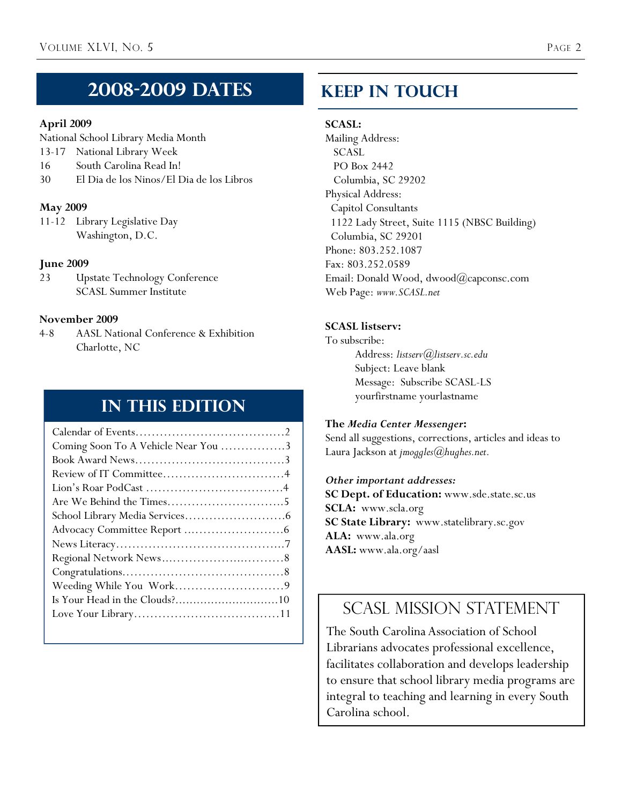## **2008-2009 Dates**

## **April 2009**

National School Library Media Month

- 13-17 National Library Week
- 16 South Carolina Read In!
- 30 El Dia de los Ninos/El Dia de los Libros

## **May 2009**

11-12 Library Legislative Day Washington, D.C.

## **June 2009**

23 Upstate Technology Conference SCASL Summer Institute

## **November 2009**

4-8 AASL National Conference & Exhibition Charlotte, NC

## **In This Edition**

| Coming Soon To A Vehicle Near You 3 |
|-------------------------------------|
|                                     |
|                                     |
|                                     |
| Are We Behind the Times5            |
|                                     |
|                                     |
|                                     |
|                                     |
|                                     |
|                                     |
|                                     |
|                                     |
|                                     |

## **Keep In Touch**

## **SCASL:**

Mailing Address: SCASL PO Box 2442 Columbia, SC 29202 Physical Address: Capitol Consultants 1122 Lady Street, Suite 1115 (NBSC Building) Columbia, SC 29201 Phone: 803.252.1087 Fax: 803.252.0589 Email: Donald Wood, dwood@capconsc.com Web Page: *www.SCASL.net*

## **SCASL listserv:**

To subscribe: Address: *listserv@listserv.sc.edu* Subject: Leave blank Message: Subscribe SCASL-LS yourfirstname yourlastname

## **The** *Media Center Messenger***:**

Send all suggestions, corrections, articles and ideas to Laura Jackson at *jmoggles@hughes.net.* 

### *Other important addresses:*

**SC Dept. of Education:** www.sde.state.sc.us **SCLA:** www.scla.org **SC State Library:** www.statelibrary.sc.gov **ALA:** www.ala.org **AASL:** www.ala.org/aasl

## SCASL MISSION STATEMENT

The South Carolina Association of School Librarians advocates professional excellence, facilitates collaboration and develops leadership to ensure that school library media programs are integral to teaching and learning in every South Carolina school.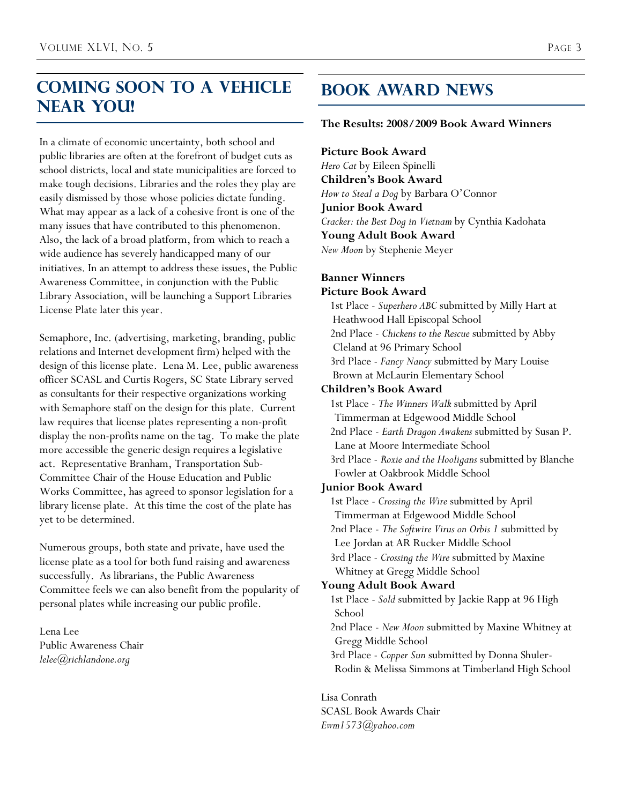## **Coming Soon to A Vehicle Near You!**

In a climate of economic uncertainty, both school and public libraries are often at the forefront of budget cuts as school districts, local and state municipalities are forced to make tough decisions. Libraries and the roles they play are easily dismissed by those whose policies dictate funding. What may appear as a lack of a cohesive front is one of the many issues that have contributed to this phenomenon. Also, the lack of a broad platform, from which to reach a wide audience has severely handicapped many of our initiatives. In an attempt to address these issues, the Public Awareness Committee, in conjunction with the Public Library Association, will be launching a Support Libraries License Plate later this year.

Semaphore, Inc. (advertising, marketing, branding, public relations and Internet development firm) helped with the design of this license plate. Lena M. Lee, public awareness officer SCASL and Curtis Rogers, SC State Library served as consultants for their respective organizations working with Semaphore staff on the design for this plate. Current law requires that license plates representing a non-profit display the non-profits name on the tag. To make the plate more accessible the generic design requires a legislative act. Representative Branham, Transportation Sub-Committee Chair of the House Education and Public Works Committee, has agreed to sponsor legislation for a library license plate. At this time the cost of the plate has yet to be determined.

Numerous groups, both state and private, have used the license plate as a tool for both fund raising and awareness successfully. As librarians, the Public Awareness Committee feels we can also benefit from the popularity of personal plates while increasing our public profile.

Lena Lee Public Awareness Chair *lelee@richlandone.org* 

## **Book Award News**

### **The Results: 2008/2009 Book Award Winners**

**Picture Book Award** *Hero Cat* by Eileen Spinelli **Children's Book Award** *How to Steal a Dog* by Barbara O'Connor **Junior Book Award** *Cracker: the Best Dog in Vietnam* by Cynthia Kadohata **Young Adult Book Award** *New Moon* by Stephenie Meyer

### **Banner Winners**

### **Picture Book Award**

1st Place - *Superhero ABC* submitted by Milly Hart at Heathwood Hall Episcopal School 2nd Place - *Chickens to the Rescue* submitted by Abby Cleland at 96 Primary School 3rd Place - *Fancy Nancy* submitted by Mary Louise Brown at McLaurin Elementary School **Children's Book Award**  1st Place - *The Winners Walk* submitted by April Timmerman at Edgewood Middle School 2nd Place - *Earth Dragon Awakens* submitted by Susan P. Lane at Moore Intermediate School 3rd Place - *Roxie and the Hooligans* submitted by Blanche Fowler at Oakbrook Middle School

### **Junior Book Award**

1st Place - *Crossing the Wire* submitted by April Timmerman at Edgewood Middle School 2nd Place - *The Softwire Virus on Orbis 1* submitted by Lee Jordan at AR Rucker Middle School 3rd Place - *Crossing the Wire* submitted by Maxine Whitney at Gregg Middle School **Young Adult Book Award**  1st Place - *Sold* submitted by Jackie Rapp at 96 High School 2nd Place - *New Moon* submitted by Maxine Whitney at Gregg Middle School 3rd Place - *Copper Sun* submitted by Donna Shuler-Rodin & Melissa Simmons at Timberland High School

Lisa Conrath SCASL Book Awards Chair *Ewm1573@yahoo.com*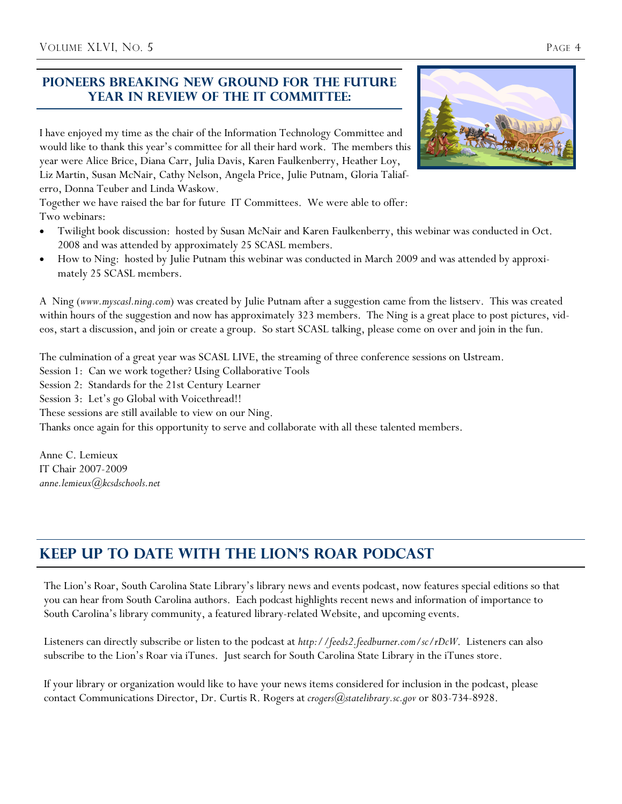## **Pioneers Breaking New Ground for the future Year in review of the IT Committee:**

I have enjoyed my time as the chair of the Information Technology Committee and would like to thank this year's committee for all their hard work. The members this year were Alice Brice, Diana Carr, Julia Davis, Karen Faulkenberry, Heather Loy, Liz Martin, Susan McNair, Cathy Nelson, Angela Price, Julie Putnam, Gloria Taliaferro, Donna Teuber and Linda Waskow.

Together we have raised the bar for future IT Committees. We were able to offer: Two webinars:

- Twilight book discussion: hosted by Susan McNair and Karen Faulkenberry, this webinar was conducted in Oct. 2008 and was attended by approximately 25 SCASL members.
- How to Ning: hosted by Julie Putnam this webinar was conducted in March 2009 and was attended by approximately 25 SCASL members.

A Ning (*www.myscasl.ning.com*) was created by Julie Putnam after a suggestion came from the listserv. This was created within hours of the suggestion and now has approximately 323 members. The Ning is a great place to post pictures, videos, start a discussion, and join or create a group. So start SCASL talking, please come on over and join in the fun.

The culmination of a great year was SCASL LIVE, the streaming of three conference sessions on Ustream.

- Session 1: Can we work together? Using Collaborative Tools
- Session 2: Standards for the 21st Century Learner

Session 3: Let's go Global with Voicethread!!

These sessions are still available to view on our Ning.

Thanks once again for this opportunity to serve and collaborate with all these talented members.

Anne C. Lemieux IT Chair 2007-2009 *anne.lemieux@kcsdschools.net*

## **Keep Up to Date with the Lion's Roar Podcast**

The Lion's Roar, South Carolina State Library's library news and events podcast, now features special editions so that you can hear from South Carolina authors. Each podcast highlights recent news and information of importance to South Carolina's library community, a featured library-related Website, and upcoming events.

Listeners can directly subscribe or listen to the podcast at *http://feeds2.feedburner.com/sc/rDcW*. Listeners can also subscribe to the Lion's Roar via iTunes. Just search for South Carolina State Library in the iTunes store.

If your library or organization would like to have your news items considered for inclusion in the podcast, please contact Communications Director, Dr. Curtis R. Rogers at *crogers@statelibrary.sc.gov* or 803-734-8928.

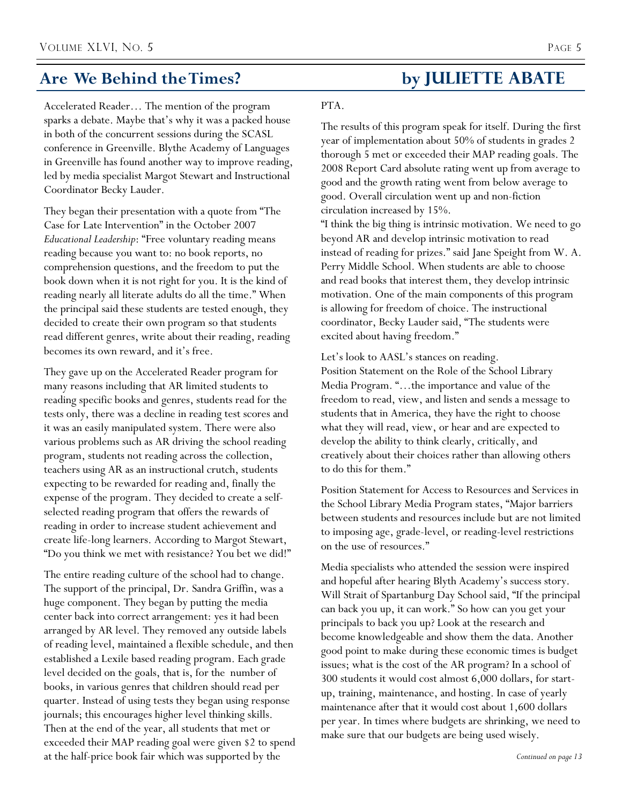## Are We Behind the Times? by **JULIETTE ABATE**

Accelerated Reader… The mention of the program sparks a debate. Maybe that's why it was a packed house in both of the concurrent sessions during the SCASL conference in Greenville. Blythe Academy of Languages in Greenville has found another way to improve reading, led by media specialist Margot Stewart and Instructional Coordinator Becky Lauder.

They began their presentation with a quote from "The Case for Late Intervention" in the October 2007 *Educational Leadership*: "Free voluntary reading means reading because you want to: no book reports, no comprehension questions, and the freedom to put the book down when it is not right for you. It is the kind of reading nearly all literate adults do all the time." When the principal said these students are tested enough, they decided to create their own program so that students read different genres, write about their reading, reading becomes its own reward, and it's free.

They gave up on the Accelerated Reader program for many reasons including that AR limited students to reading specific books and genres, students read for the tests only, there was a decline in reading test scores and it was an easily manipulated system. There were also various problems such as AR driving the school reading program, students not reading across the collection, teachers using AR as an instructional crutch, students expecting to be rewarded for reading and, finally the expense of the program. They decided to create a selfselected reading program that offers the rewards of reading in order to increase student achievement and create life-long learners. According to Margot Stewart, "Do you think we met with resistance? You bet we did!"

The entire reading culture of the school had to change. The support of the principal, Dr. Sandra Griffin, was a huge component. They began by putting the media center back into correct arrangement: yes it had been arranged by AR level. They removed any outside labels of reading level, maintained a flexible schedule, and then established a Lexile based reading program. Each grade level decided on the goals, that is, for the number of books, in various genres that children should read per quarter. Instead of using tests they began using response journals; this encourages higher level thinking skills. Then at the end of the year, all students that met or exceeded their MAP reading goal were given \$2 to spend at the half-price book fair which was supported by the

### PTA.

The results of this program speak for itself. During the first year of implementation about 50% of students in grades 2 thorough 5 met or exceeded their MAP reading goals. The 2008 Report Card absolute rating went up from average to good and the growth rating went from below average to good. Overall circulation went up and non-fiction circulation increased by 15%.

"I think the big thing is intrinsic motivation. We need to go beyond AR and develop intrinsic motivation to read instead of reading for prizes." said Jane Speight from W. A. Perry Middle School. When students are able to choose and read books that interest them, they develop intrinsic motivation. One of the main components of this program is allowing for freedom of choice. The instructional coordinator, Becky Lauder said, "The students were excited about having freedom."

Let's look to AASL's stances on reading. Position Statement on the Role of the School Library Media Program. "…the importance and value of the freedom to read, view, and listen and sends a message to students that in America, they have the right to choose what they will read, view, or hear and are expected to develop the ability to think clearly, critically, and creatively about their choices rather than allowing others to do this for them."

Position Statement for Access to Resources and Services in the School Library Media Program states, "Major barriers between students and resources include but are not limited to imposing age, grade-level, or reading-level restrictions on the use of resources."

Media specialists who attended the session were inspired and hopeful after hearing Blyth Academy's success story. Will Strait of Spartanburg Day School said, "If the principal can back you up, it can work." So how can you get your principals to back you up? Look at the research and become knowledgeable and show them the data. Another good point to make during these economic times is budget issues; what is the cost of the AR program? In a school of 300 students it would cost almost 6,000 dollars, for startup, training, maintenance, and hosting. In case of yearly maintenance after that it would cost about 1,600 dollars per year. In times where budgets are shrinking, we need to make sure that our budgets are being used wisely.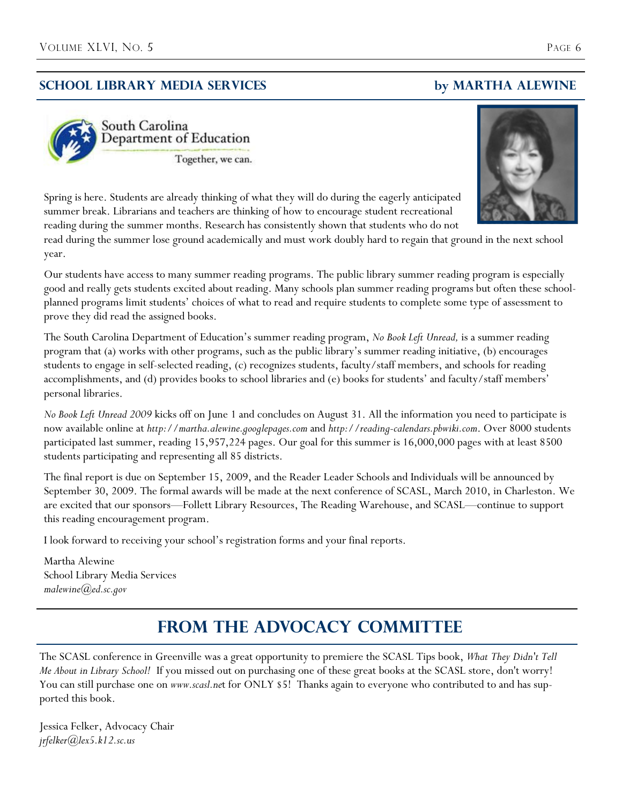## **School Library Media Services by MARTHA ALEWINe**



South Carolina Department of Education

Together, we can.



Spring is here. Students are already thinking of what they will do during the eagerly anticipated summer break. Librarians and teachers are thinking of how to encourage student recreational reading during the summer months. Research has consistently shown that students who do not

read during the summer lose ground academically and must work doubly hard to regain that ground in the next school year.

Our students have access to many summer reading programs. The public library summer reading program is especially good and really gets students excited about reading. Many schools plan summer reading programs but often these schoolplanned programs limit students' choices of what to read and require students to complete some type of assessment to prove they did read the assigned books.

The South Carolina Department of Education's summer reading program, *No Book Left Unread,* is a summer reading program that (a) works with other programs, such as the public library's summer reading initiative, (b) encourages students to engage in self-selected reading, (c) recognizes students, faculty/staff members, and schools for reading accomplishments, and (d) provides books to school libraries and (e) books for students' and faculty/staff members' personal libraries.

*No Book Left Unread 2009* kicks off on June 1 and concludes on August 31. All the information you need to participate is now available online at *http://martha.alewine.googlepages.com* and *http://reading-calendars.pbwiki.com*. Over 8000 students participated last summer, reading 15,957,224 pages. Our goal for this summer is 16,000,000 pages with at least 8500 students participating and representing all 85 districts.

The final report is due on September 15, 2009, and the Reader Leader Schools and Individuals will be announced by September 30, 2009. The formal awards will be made at the next conference of SCASL, March 2010, in Charleston. We are excited that our sponsors—Follett Library Resources, The Reading Warehouse, and SCASL—continue to support this reading encouragement program.

I look forward to receiving your school's registration forms and your final reports.

Martha Alewine School Library Media Services *malewine@ed.sc.gov* 

## **FROM THE ADVOCACY COMMITTEE**

The SCASL conference in Greenville was a great opportunity to premiere the SCASL Tips book, *What They Didn't Tell Me About in Library School!* If you missed out on purchasing one of these great books at the SCASL store, don't worry! You can still purchase one on *www.scasl.net* for ONLY \$5! Thanks again to everyone who contributed to and has supported this book.

Jessica Felker, Advocacy Chair *jrfelker@lex5.k12.sc.us*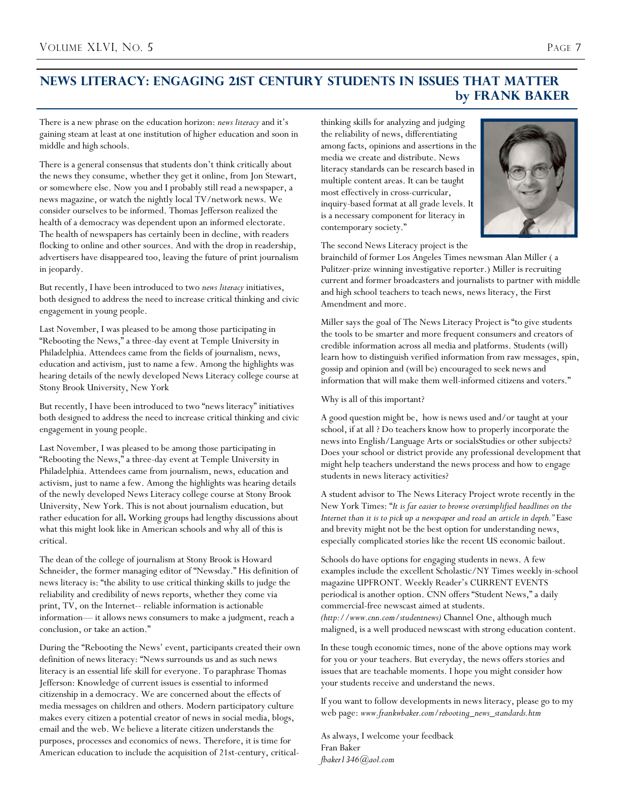## **News Literacy: Engaging 21st Century Students in Issues that Matter by Frank Baker**

There is a new phrase on the education horizon: *news literacy* and it's gaining steam at least at one institution of higher education and soon in middle and high schools.

There is a general consensus that students don't think critically about the news they consume, whether they get it online, from Jon Stewart, or somewhere else. Now you and I probably still read a newspaper, a news magazine, or watch the nightly local TV/network news. We consider ourselves to be informed. Thomas Jefferson realized the health of a democracy was dependent upon an informed electorate. The health of newspapers has certainly been in decline, with readers flocking to online and other sources. And with the drop in readership, advertisers have disappeared too, leaving the future of print journalism in jeopardy.

But recently, I have been introduced to two *news literacy* initiatives, both designed to address the need to increase critical thinking and civic engagement in young people.

Last November, I was pleased to be among those participating in "Rebooting the News," a three-day event at Temple University in Philadelphia. Attendees came from the fields of journalism, news, education and activism, just to name a few. Among the highlights was hearing details of the newly developed News Literacy college course at Stony Brook University, New York

But recently, I have been introduced to two "news literacy" initiatives both designed to address the need to increase critical thinking and civic engagement in young people.

Last November, I was pleased to be among those participating in "Rebooting the News," a three-day event at Temple University in Philadelphia. Attendees came from journalism, news, education and activism, just to name a few. Among the highlights was hearing details of the newly developed News Literacy college course at Stony Brook University, New York. This is not about journalism education, but rather education for all**.** Working groups had lengthy discussions about what this might look like in American schools and why all of this is critical.

The dean of the college of journalism at Stony Brook is Howard Schneider, the former managing editor of "Newsday." His definition of news literacy is: "the ability to use critical thinking skills to judge the reliability and credibility of news reports, whether they come via print, TV, on the Internet-- reliable information is actionable information— it allows news consumers to make a judgment, reach a conclusion, or take an action."

During the "Rebooting the News' event, participants created their own definition of news literacy: "News surrounds us and as such news literacy is an essential life skill for everyone. To paraphrase Thomas Jefferson: Knowledge of current issues is essential to informed citizenship in a democracy. We are concerned about the effects of media messages on children and others. Modern participatory culture makes every citizen a potential creator of news in social media, blogs, email and the web. We believe a literate citizen understands the purposes, processes and economics of news. Therefore, it is time for American education to include the acquisition of 21st-century, criticalthinking skills for analyzing and judging the reliability of news, differentiating among facts, opinions and assertions in the media we create and distribute. News literacy standards can be research based in multiple content areas. It can be taught most effectively in cross-curricular, inquiry-based format at all grade levels. It is a necessary component for literacy in contemporary society."



The second News Literacy project is the

brainchild of former Los Angeles Times newsman Alan Miller ( a Pulitzer-prize winning investigative reporter.) Miller is recruiting current and former broadcasters and journalists to partner with middle and high school teachers to teach news, news literacy, the First Amendment and more.

Miller says the goal of The News Literacy Project is "to give students the tools to be smarter and more frequent consumers and creators of credible information across all media and platforms. Students (will) learn how to distinguish verified information from raw messages, spin, gossip and opinion and (will be) encouraged to seek news and information that will make them well-informed citizens and voters."

Why is all of this important?

A good question might be, how is news used and/or taught at your school, if at all ? Do teachers know how to properly incorporate the news into English/Language Arts or socialsStudies or other subjects? Does your school or district provide any professional development that might help teachers understand the news process and how to engage students in news literacy activities?

A student advisor to The News Literacy Project wrote recently in the New York Times: "*It is far easier to browse oversimplified headlines on the*  Internet than it is to pick up a newspaper and read an article in depth." Ease and brevity might not be the best option for understanding news, especially complicated stories like the recent US economic bailout.

Schools do have options for engaging students in news. A few examples include the excellent Scholastic/NY Times weekly in-school magazine UPFRONT. Weekly Reader's CURRENT EVENTS periodical is another option. CNN offers "Student News," a daily commercial-free newscast aimed at students. *(http://www.cnn.com/studentnews)* Channel One, although much maligned, is a well produced newscast with strong education content.

In these tough economic times, none of the above options may work for you or your teachers. But everyday, the news offers stories and issues that are teachable moments. I hope you might consider how your students receive and understand the news.

If you want to follow developments in news literacy, please go to my web page: *www.frankwbaker.com/rebooting\_news\_standards.htm*

As always, I welcome your feedback Fran Baker *fbaker1346@aol.com*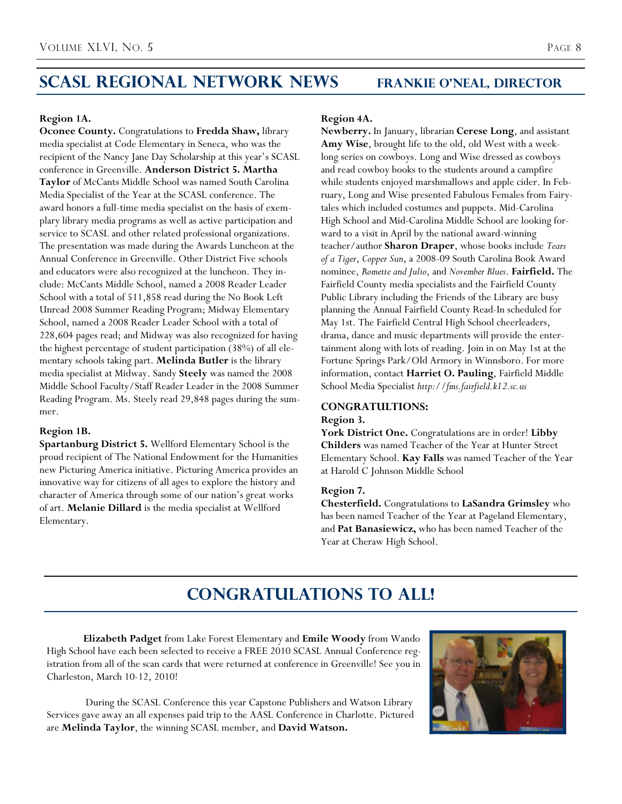## **SCASL Regional Network News Frankie O'Neal, Director**

### **Region 1A.**

**Oconee County.** Congratulations to **Fredda Shaw,** library media specialist at Code Elementary in Seneca, who was the recipient of the Nancy Jane Day Scholarship at this year's SCASL conference in Greenville. **Anderson District 5. Martha Taylor** of McCants Middle School was named South Carolina Media Specialist of the Year at the SCASL conference. The award honors a full-time media specialist on the basis of exemplary library media programs as well as active participation and service to SCASL and other related professional organizations. The presentation was made during the Awards Luncheon at the Annual Conference in Greenville. Other District Five schools and educators were also recognized at the luncheon. They include: McCants Middle School, named a 2008 Reader Leader School with a total of 511,858 read during the No Book Left Unread 2008 Summer Reading Program; Midway Elementary School, named a 2008 Reader Leader School with a total of 228,604 pages read; and Midway was also recognized for having the highest percentage of student participation (38%) of all elementary schools taking part. **Melinda Butler** is the library media specialist at Midway. Sandy **Steely** was named the 2008 Middle School Faculty/Staff Reader Leader in the 2008 Summer Reading Program. Ms. Steely read 29,848 pages during the summer.

### **Region 1B.**

**Spartanburg District 5.** Wellford Elementary School is the proud recipient of The National Endowment for the Humanities new Picturing America initiative. Picturing America provides an innovative way for citizens of all ages to explore the history and character of America through some of our nation's great works of art. **Melanie Dillard** is the media specialist at Wellford Elementary.

### **Region 4A.**

**Newberry.** In January, librarian **Cerese Long**, and assistant **Amy Wise**, brought life to the old, old West with a weeklong series on cowboys. Long and Wise dressed as cowboys and read cowboy books to the students around a campfire while students enjoyed marshmallows and apple cider. In February, Long and Wise presented Fabulous Females from Fairytales which included costumes and puppets. Mid-Carolina High School and Mid-Carolina Middle School are looking forward to a visit in April by the national award-winning teacher/author **Sharon Draper**, whose books include *Tears of a Tiger*, *Copper Sun*, a 2008-09 South Carolina Book Award nominee, *Romette and Julio*, and *November Blues*. **Fairfield.** The Fairfield County media specialists and the Fairfield County Public Library including the Friends of the Library are busy planning the Annual Fairfield County Read-In scheduled for May 1st. The Fairfield Central High School cheerleaders, drama, dance and music departments will provide the entertainment along with lots of reading. Join in on May 1st at the Fortune Springs Park/Old Armory in Winnsboro. For more information, contact **Harriet O. Pauling**, Fairfield Middle School Media Specialist *http://fms.fairfield.k12.sc.us*

### **CONGRATULTIONS:**

### **Region 3.**

**York District One.** Congratulations are in order! **Libby Childers** was named Teacher of the Year at Hunter Street Elementary School. **Kay Falls** was named Teacher of the Year at Harold C Johnson Middle School

### **Region 7.**

**Chesterfield.** Congratulations to **LaSandra Grimsley** who has been named Teacher of the Year at Pageland Elementary, and **Pat Banasiewicz,** who has been named Teacher of the Year at Cheraw High School.

## **Congratulations to All!**

**Elizabeth Padget** from Lake Forest Elementary and **Emile Woody** from Wando High School have each been selected to receive a FREE 2010 SCASL Annual Conference registration from all of the scan cards that were returned at conference in Greenville! See you in Charleston, March 10-12, 2010!

 During the SCASL Conference this year Capstone Publishers and Watson Library Services gave away an all expenses paid trip to the AASL Conference in Charlotte. Pictured are **Melinda Taylor**, the winning SCASL member, and **David Watson.**

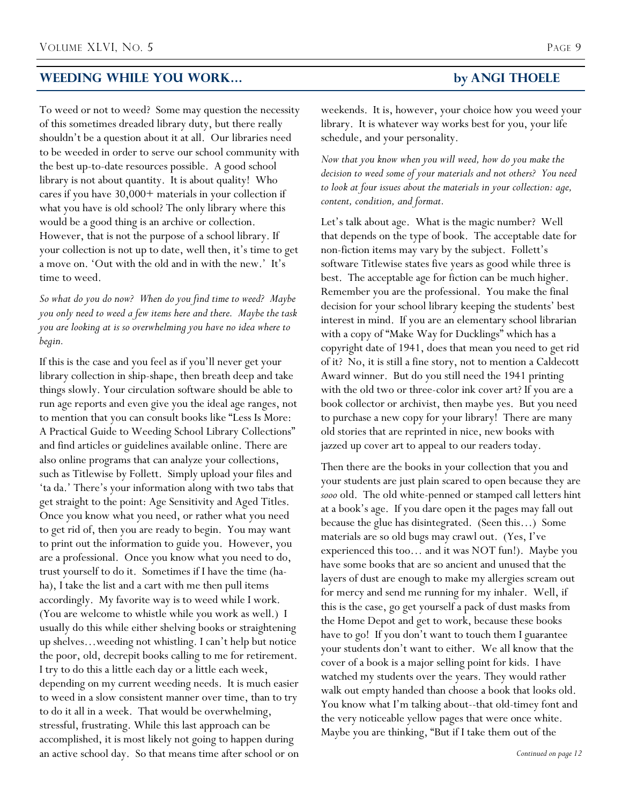## **Weeding While You Work… by Angi Thoele**

To weed or not to weed? Some may question the necessity of this sometimes dreaded library duty, but there really shouldn't be a question about it at all. Our libraries need to be weeded in order to serve our school community with the best up-to-date resources possible. A good school library is not about quantity. It is about quality! Who cares if you have 30,000+ materials in your collection if what you have is old school? The only library where this would be a good thing is an archive or collection. However, that is not the purpose of a school library. If your collection is not up to date, well then, it's time to get a move on. 'Out with the old and in with the new.' It's time to weed.

*So what do you do now? When do you find time to weed? Maybe you only need to weed a few items here and there. Maybe the task you are looking at is so overwhelming you have no idea where to begin.*

If this is the case and you feel as if you'll never get your library collection in ship-shape, then breath deep and take things slowly. Your circulation software should be able to run age reports and even give you the ideal age ranges, not to mention that you can consult books like "Less Is More: A Practical Guide to Weeding School Library Collections" and find articles or guidelines available online. There are also online programs that can analyze your collections, such as Titlewise by Follett. Simply upload your files and 'ta da.' There's your information along with two tabs that get straight to the point: Age Sensitivity and Aged Titles. Once you know what you need, or rather what you need to get rid of, then you are ready to begin. You may want to print out the information to guide you. However, you are a professional. Once you know what you need to do, trust yourself to do it. Sometimes if I have the time (haha), I take the list and a cart with me then pull items accordingly. My favorite way is to weed while I work. (You are welcome to whistle while you work as well.) I usually do this while either shelving books or straightening up shelves…weeding not whistling. I can't help but notice the poor, old, decrepit books calling to me for retirement. I try to do this a little each day or a little each week, depending on my current weeding needs. It is much easier to weed in a slow consistent manner over time, than to try to do it all in a week. That would be overwhelming, stressful, frustrating. While this last approach can be accomplished, it is most likely not going to happen during an active school day. So that means time after school or on

weekends. It is, however, your choice how you weed your library. It is whatever way works best for you, your life schedule, and your personality.

*Now that you know when you will weed, how do you make the decision to weed some of your materials and not others? You need to look at four issues about the materials in your collection: age, content, condition, and format.* 

Let's talk about age. What is the magic number? Well that depends on the type of book. The acceptable date for non-fiction items may vary by the subject. Follett's software Titlewise states five years as good while three is best. The acceptable age for fiction can be much higher. Remember you are the professional. You make the final decision for your school library keeping the students' best interest in mind. If you are an elementary school librarian with a copy of "Make Way for Ducklings" which has a copyright date of 1941, does that mean you need to get rid of it? No, it is still a fine story, not to mention a Caldecott Award winner. But do you still need the 1941 printing with the old two or three-color ink cover art? If you are a book collector or archivist, then maybe yes. But you need to purchase a new copy for your library! There are many old stories that are reprinted in nice, new books with jazzed up cover art to appeal to our readers today.

Then there are the books in your collection that you and your students are just plain scared to open because they are *sooo* old. The old white-penned or stamped call letters hint at a book's age. If you dare open it the pages may fall out because the glue has disintegrated. (Seen this…) Some materials are so old bugs may crawl out. (Yes, I've experienced this too… and it was NOT fun!). Maybe you have some books that are so ancient and unused that the layers of dust are enough to make my allergies scream out for mercy and send me running for my inhaler. Well, if this is the case, go get yourself a pack of dust masks from the Home Depot and get to work, because these books have to go! If you don't want to touch them I guarantee your students don't want to either. We all know that the cover of a book is a major selling point for kids. I have watched my students over the years. They would rather walk out empty handed than choose a book that looks old. You know what I'm talking about--that old-timey font and the very noticeable yellow pages that were once white. Maybe you are thinking, "But if I take them out of the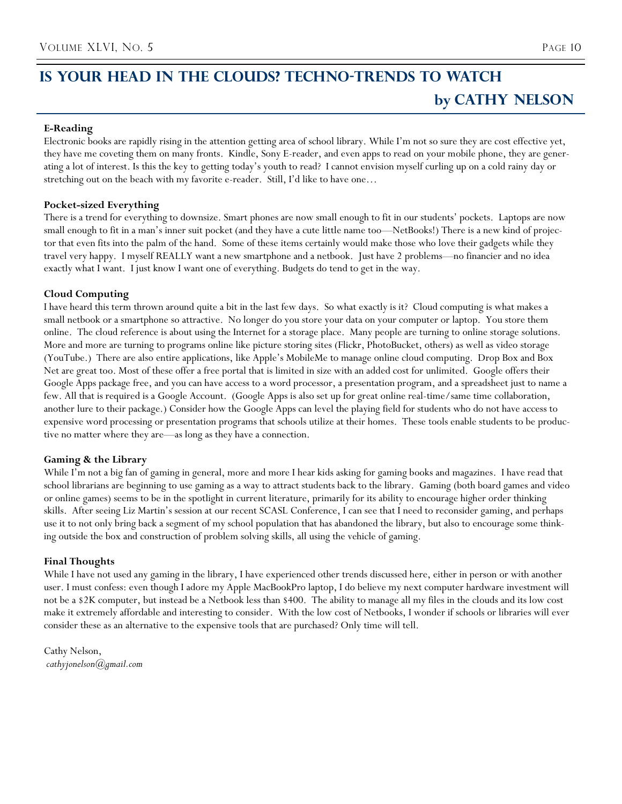## **E-Reading**

Electronic books are rapidly rising in the attention getting area of school library. While I'm not so sure they are cost effective yet, they have me coveting them on many fronts. Kindle, Sony E-reader, and even apps to read on your mobile phone, they are generating a lot of interest. Is this the key to getting today's youth to read? I cannot envision myself curling up on a cold rainy day or stretching out on the beach with my favorite e-reader. Still, I'd like to have one…

## **Pocket-sized Everything**

There is a trend for everything to downsize. Smart phones are now small enough to fit in our students' pockets. Laptops are now small enough to fit in a man's inner suit pocket (and they have a cute little name too—NetBooks!) There is a new kind of projector that even fits into the palm of the hand. Some of these items certainly would make those who love their gadgets while they travel very happy. I myself REALLY want a new smartphone and a netbook. Just have 2 problems—no financier and no idea exactly what I want. I just know I want one of everything. Budgets do tend to get in the way.

## **Cloud Computing**

I have heard this term thrown around quite a bit in the last few days. So what exactly is it? Cloud computing is what makes a small netbook or a smartphone so attractive. No longer do you store your data on your computer or laptop. You store them online. The cloud reference is about using the Internet for a storage place. Many people are turning to online storage solutions. More and more are turning to programs online like picture storing sites (Flickr, PhotoBucket, others) as well as video storage (YouTube.) There are also entire applications, like Apple's MobileMe to manage online cloud computing. Drop Box and Box Net are great too. Most of these offer a free portal that is limited in size with an added cost for unlimited. Google offers their Google Apps package free, and you can have access to a word processor, a presentation program, and a spreadsheet just to name a few. All that is required is a Google Account. (Google Apps is also set up for great online real-time/same time collaboration, another lure to their package.) Consider how the Google Apps can level the playing field for students who do not have access to expensive word processing or presentation programs that schools utilize at their homes. These tools enable students to be productive no matter where they are—as long as they have a connection.

## **Gaming & the Library**

While I'm not a big fan of gaming in general, more and more I hear kids asking for gaming books and magazines. I have read that school librarians are beginning to use gaming as a way to attract students back to the library. Gaming (both board games and video or online games) seems to be in the spotlight in current literature, primarily for its ability to encourage higher order thinking skills. After seeing Liz Martin's session at our recent SCASL Conference, I can see that I need to reconsider gaming, and perhaps use it to not only bring back a segment of my school population that has abandoned the library, but also to encourage some thinking outside the box and construction of problem solving skills, all using the vehicle of gaming.

## **Final Thoughts**

While I have not used any gaming in the library, I have experienced other trends discussed here, either in person or with another user. I must confess: even though I adore my Apple MacBookPro laptop, I do believe my next computer hardware investment will not be a \$2K computer, but instead be a Netbook less than \$400. The ability to manage all my files in the clouds and its low cost make it extremely affordable and interesting to consider. With the low cost of Netbooks, I wonder if schools or libraries will ever consider these as an alternative to the expensive tools that are purchased? Only time will tell.

Cathy Nelson, *cathyjonelson@gmail.com*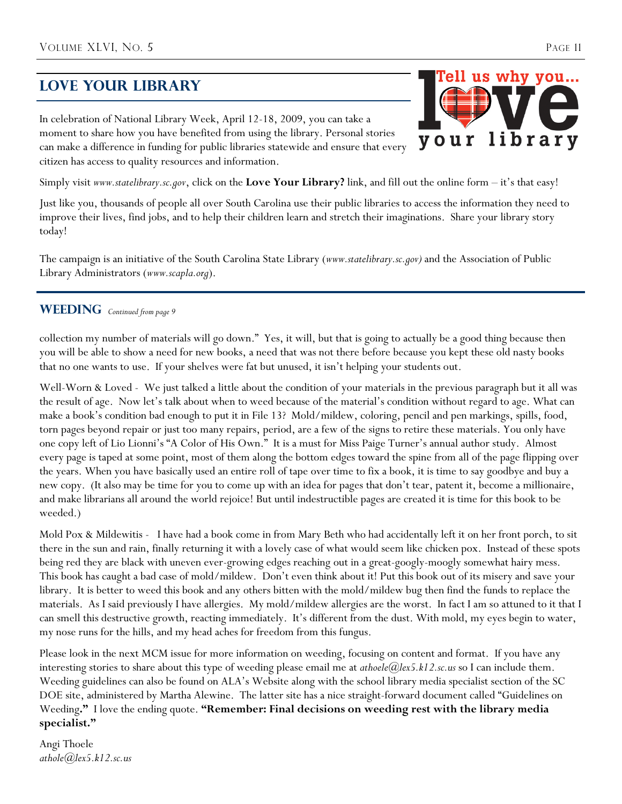## **Love your Library**

In celebration of National Library Week, April 12-18, 2009, you can take a moment to share how you have benefited from using the library. Personal stories can make a difference in funding for public libraries statewide and ensure that every citizen has access to quality resources and information.

Simply visit *www.statelibrary.sc.gov*, click on the **Love Your Library?** link, and fill out the online form – it's that easy!

Just like you, thousands of people all over South Carolina use their public libraries to access the information they need to improve their lives, find jobs, and to help their children learn and stretch their imaginations. Share your library story today!

The campaign is an initiative of the South Carolina State Library (*www.statelibrary.sc.gov)* and the Association of Public Library Administrators (*www.scapla.org*).

## WEEDING Continued from page 9

collection my number of materials will go down." Yes, it will, but that is going to actually be a good thing because then you will be able to show a need for new books, a need that was not there before because you kept these old nasty books that no one wants to use. If your shelves were fat but unused, it isn't helping your students out.

Well-Worn & Loved - We just talked a little about the condition of your materials in the previous paragraph but it all was the result of age. Now let's talk about when to weed because of the material's condition without regard to age. What can make a book's condition bad enough to put it in File 13? Mold/mildew, coloring, pencil and pen markings, spills, food, torn pages beyond repair or just too many repairs, period, are a few of the signs to retire these materials. You only have one copy left of Lio Lionni's "A Color of His Own." It is a must for Miss Paige Turner's annual author study. Almost every page is taped at some point, most of them along the bottom edges toward the spine from all of the page flipping over the years. When you have basically used an entire roll of tape over time to fix a book, it is time to say goodbye and buy a new copy. (It also may be time for you to come up with an idea for pages that don't tear, patent it, become a millionaire, and make librarians all around the world rejoice! But until indestructible pages are created it is time for this book to be weeded.)

Mold Pox & Mildewitis - I have had a book come in from Mary Beth who had accidentally left it on her front porch, to sit there in the sun and rain, finally returning it with a lovely case of what would seem like chicken pox. Instead of these spots being red they are black with uneven ever-growing edges reaching out in a great-googly-moogly somewhat hairy mess. This book has caught a bad case of mold/mildew. Don't even think about it! Put this book out of its misery and save your library. It is better to weed this book and any others bitten with the mold/mildew bug then find the funds to replace the materials. As I said previously I have allergies. My mold/mildew allergies are the worst. In fact I am so attuned to it that I can smell this destructive growth, reacting immediately. It's different from the dust. With mold, my eyes begin to water, my nose runs for the hills, and my head aches for freedom from this fungus.

Please look in the next MCM issue for more information on weeding, focusing on content and format. If you have any interesting stories to share about this type of weeding please email me at *athoele@lex5.k12.sc.us* so I can include them. Weeding guidelines can also be found on ALA's Website along with the school library media specialist section of the SC DOE site, administered by Martha Alewine. The latter site has a nice straight-forward document called "Guidelines on Weeding**."** I love the ending quote. **"Remember: Final decisions on weeding rest with the library media specialist."** 

Angi Thoele *athole@lex5.k12.sc.us*